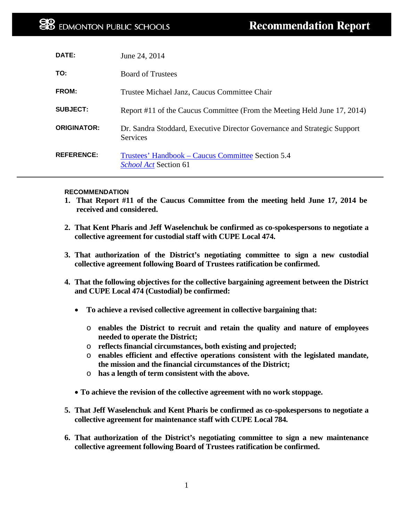| DATE:              | June 24, 2014                                                                        |
|--------------------|--------------------------------------------------------------------------------------|
| TO:                | <b>Board of Trustees</b>                                                             |
| <b>FROM:</b>       | Trustee Michael Janz, Caucus Committee Chair                                         |
| <b>SUBJECT:</b>    | Report #11 of the Caucus Committee (From the Meeting Held June 17, 2014)             |
| <b>ORIGINATOR:</b> | Dr. Sandra Stoddard, Executive Director Governance and Strategic Support<br>Services |
| <b>REFERENCE:</b>  | Trustees' Handbook – Caucus Committee Section 5.4<br>School Act Section 61           |

## **RECOMMENDATION**

- **1. That Report #11 of the Caucus Committee from the meeting held June 17, 2014 be received and considered.**
- **2. That Kent Pharis and Jeff Waselenchuk be confirmed as co-spokespersons to negotiate a collective agreement for custodial staff with CUPE Local 474.**
- **3. That authorization of the District's negotiating committee to sign a new custodial collective agreement following Board of Trustees ratification be confirmed.**
- **4. That the following objectives for the collective bargaining agreement between the District and CUPE Local 474 (Custodial) be confirmed:**
	- **To achieve a revised collective agreement in collective bargaining that:**
		- o **enables the District to recruit and retain the quality and nature of employees needed to operate the District;**
		- o **reflects financial circumstances, both existing and projected;**
		- o **enables efficient and effective operations consistent with the legislated mandate, the mission and the financial circumstances of the District;**
		- o **has a length of term consistent with the above.**
	- **To achieve the revision of the collective agreement with no work stoppage.**
- **5. That Jeff Waselenchuk and Kent Pharis be confirmed as co-spokespersons to negotiate a collective agreement for maintenance staff with CUPE Local 784.**
- **6. That authorization of the District's negotiating committee to sign a new maintenance collective agreement following Board of Trustees ratification be confirmed.**